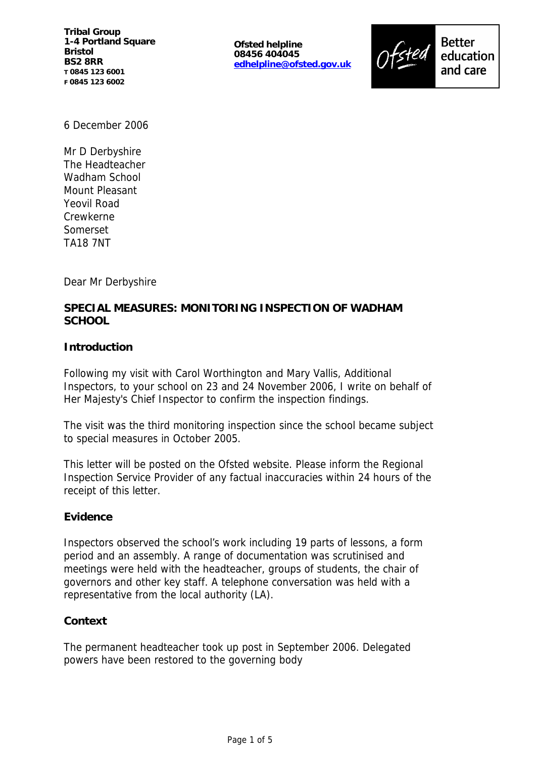**Tribal Group 1-4 Portland Square Bristol BS2 8RR T 0845 123 6001 F 0845 123 6002**

**Ofsted helpline 08456 404045 edhelpline@ofsted.gov.uk**



6 December 2006

Mr D Derbyshire The Headteacher Wadham School Mount Pleasant Yeovil Road Crewkerne Somerset TA18 7NT

Dear Mr Derbyshire

# **SPECIAL MEASURES: MONITORING INSPECTION OF WADHAM SCHOOL**

## **Introduction**

Following my visit with Carol Worthington and Mary Vallis, Additional Inspectors, to your school on 23 and 24 November 2006, I write on behalf of Her Majesty's Chief Inspector to confirm the inspection findings.

The visit was the third monitoring inspection since the school became subject to special measures in October 2005.

This letter will be posted on the Ofsted website. Please inform the Regional Inspection Service Provider of any factual inaccuracies within 24 hours of the receipt of this letter.

## **Evidence**

Inspectors observed the school's work including 19 parts of lessons, a form period and an assembly. A range of documentation was scrutinised and meetings were held with the headteacher, groups of students, the chair of governors and other key staff. A telephone conversation was held with a representative from the local authority (LA).

## **Context**

The permanent headteacher took up post in September 2006. Delegated powers have been restored to the governing body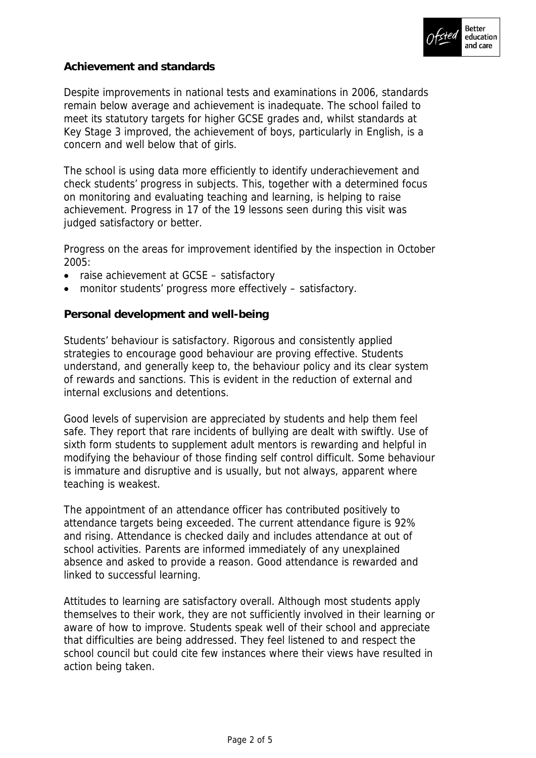

## **Achievement and standards**

Despite improvements in national tests and examinations in 2006, standards remain below average and achievement is inadequate. The school failed to meet its statutory targets for higher GCSE grades and, whilst standards at Key Stage 3 improved, the achievement of boys, particularly in English, is a concern and well below that of girls.

The school is using data more efficiently to identify underachievement and check students' progress in subjects. This, together with a determined focus on monitoring and evaluating teaching and learning, is helping to raise achievement. Progress in 17 of the 19 lessons seen during this visit was judged satisfactory or better.

Progress on the areas for improvement identified by the inspection in October 2005:

- raise achievement at GCSE satisfactory
- monitor students' progress more effectively satisfactory.

**Personal development and well-being**

Students' behaviour is satisfactory. Rigorous and consistently applied strategies to encourage good behaviour are proving effective. Students understand, and generally keep to, the behaviour policy and its clear system of rewards and sanctions. This is evident in the reduction of external and internal exclusions and detentions.

Good levels of supervision are appreciated by students and help them feel safe. They report that rare incidents of bullying are dealt with swiftly. Use of sixth form students to supplement adult mentors is rewarding and helpful in modifying the behaviour of those finding self control difficult. Some behaviour is immature and disruptive and is usually, but not always, apparent where teaching is weakest.

The appointment of an attendance officer has contributed positively to attendance targets being exceeded. The current attendance figure is 92% and rising. Attendance is checked daily and includes attendance at out of school activities. Parents are informed immediately of any unexplained absence and asked to provide a reason. Good attendance is rewarded and linked to successful learning.

Attitudes to learning are satisfactory overall. Although most students apply themselves to their work, they are not sufficiently involved in their learning or aware of how to improve. Students speak well of their school and appreciate that difficulties are being addressed. They feel listened to and respect the school council but could cite few instances where their views have resulted in action being taken.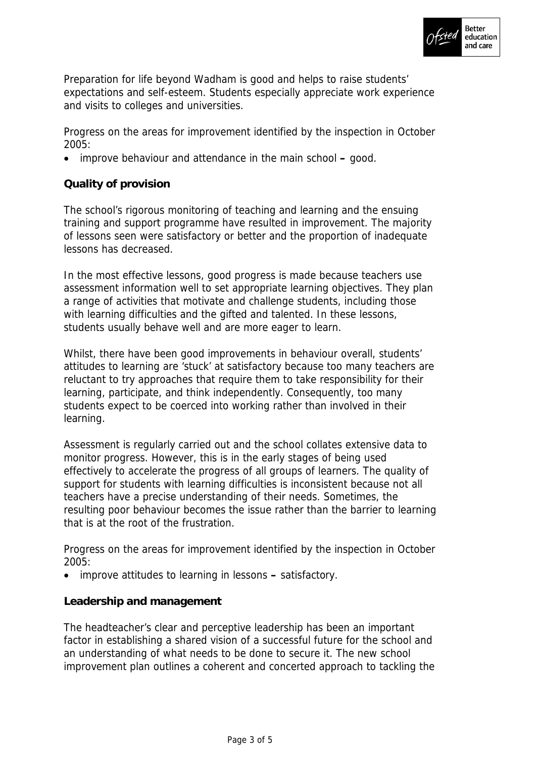

Preparation for life beyond Wadham is good and helps to raise students' expectations and self-esteem. Students especially appreciate work experience and visits to colleges and universities.

Progress on the areas for improvement identified by the inspection in October 2005:

improve behaviour and attendance in the main school **–** good.

# **Quality of provision**

The school's rigorous monitoring of teaching and learning and the ensuing training and support programme have resulted in improvement. The majority of lessons seen were satisfactory or better and the proportion of inadequate lessons has decreased.

In the most effective lessons, good progress is made because teachers use assessment information well to set appropriate learning objectives. They plan a range of activities that motivate and challenge students, including those with learning difficulties and the gifted and talented. In these lessons, students usually behave well and are more eager to learn.

Whilst, there have been good improvements in behaviour overall, students' attitudes to learning are 'stuck' at satisfactory because too many teachers are reluctant to try approaches that require them to take responsibility for their learning, participate, and think independently. Consequently, too many students expect to be coerced into working rather than involved in their learning.

Assessment is regularly carried out and the school collates extensive data to monitor progress. However, this is in the early stages of being used effectively to accelerate the progress of all groups of learners. The quality of support for students with learning difficulties is inconsistent because not all teachers have a precise understanding of their needs. Sometimes, the resulting poor behaviour becomes the issue rather than the barrier to learning that is at the root of the frustration.

Progress on the areas for improvement identified by the inspection in October 2005:

improve attitudes to learning in lessons **–** satisfactory.

**Leadership and management**

The headteacher's clear and perceptive leadership has been an important factor in establishing a shared vision of a successful future for the school and an understanding of what needs to be done to secure it. The new school improvement plan outlines a coherent and concerted approach to tackling the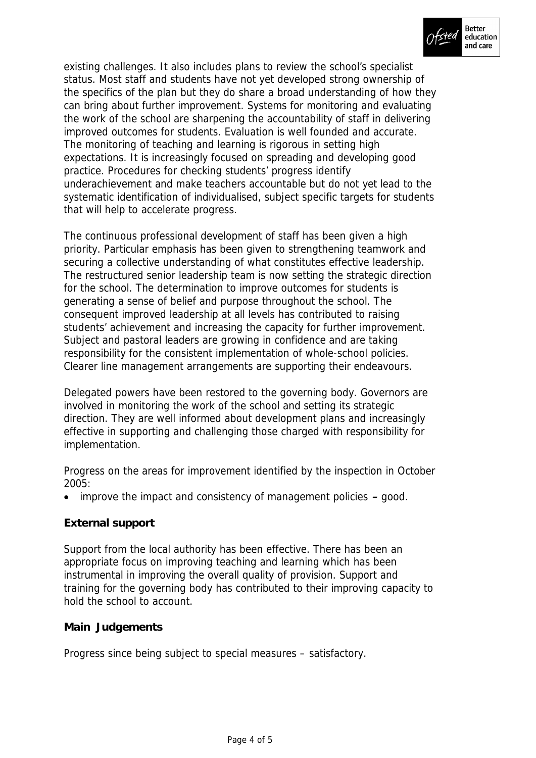

existing challenges. It also includes plans to review the school's specialist status. Most staff and students have not yet developed strong ownership of the specifics of the plan but they do share a broad understanding of how they can bring about further improvement. Systems for monitoring and evaluating the work of the school are sharpening the accountability of staff in delivering improved outcomes for students. Evaluation is well founded and accurate. The monitoring of teaching and learning is rigorous in setting high expectations. It is increasingly focused on spreading and developing good practice. Procedures for checking students' progress identify underachievement and make teachers accountable but do not yet lead to the systematic identification of individualised, subject specific targets for students that will help to accelerate progress.

The continuous professional development of staff has been given a high priority. Particular emphasis has been given to strengthening teamwork and securing a collective understanding of what constitutes effective leadership. The restructured senior leadership team is now setting the strategic direction for the school. The determination to improve outcomes for students is generating a sense of belief and purpose throughout the school. The consequent improved leadership at all levels has contributed to raising students' achievement and increasing the capacity for further improvement. Subject and pastoral leaders are growing in confidence and are taking responsibility for the consistent implementation of whole-school policies. Clearer line management arrangements are supporting their endeavours.

Delegated powers have been restored to the governing body. Governors are involved in monitoring the work of the school and setting its strategic direction. They are well informed about development plans and increasingly effective in supporting and challenging those charged with responsibility for implementation.

Progress on the areas for improvement identified by the inspection in October 2005:

improve the impact and consistency of management policies **–** good.

## **External support**

Support from the local authority has been effective. There has been an appropriate focus on improving teaching and learning which has been instrumental in improving the overall quality of provision. Support and training for the governing body has contributed to their improving capacity to hold the school to account.

## **Main Judgements**

Progress since being subject to special measures – satisfactory.